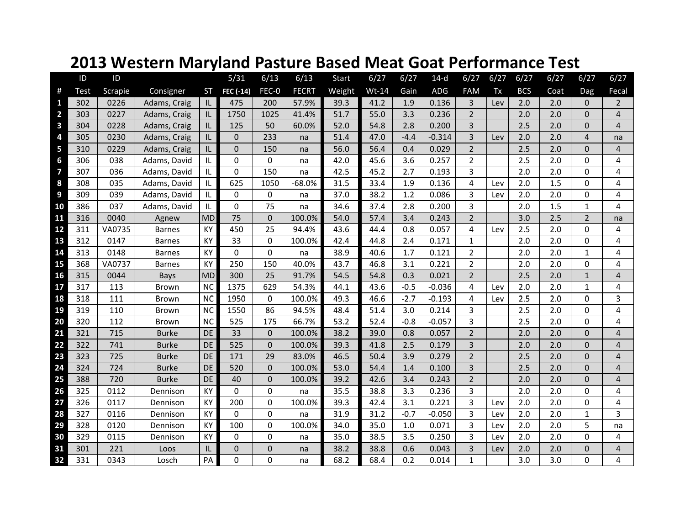|                | ID          | ID      |               |           | 5/31           | 6/13         | 6/13         | <b>Start</b> | 6/27    | 6/27   | $14-d$   | 6/27           | 6/27 | 6/27       | 6/27 | 6/27           | 6/27           |
|----------------|-------------|---------|---------------|-----------|----------------|--------------|--------------|--------------|---------|--------|----------|----------------|------|------------|------|----------------|----------------|
| #              | <b>Test</b> | Scrapie | Consigner     | <b>ST</b> | FEC (-14)      | FEC-0        | <b>FECRT</b> | Weight       | $Wt-14$ | Gain   | ADG      | <b>FAM</b>     | Tx   | <b>BCS</b> | Coat | Dag            | Fecal          |
| 1              | 302         | 0226    | Adams, Craig  | IL        | 475            | 200          | 57.9%        | 39.3         | 41.2    | 1.9    | 0.136    | 3              | Lev  | 2.0        | 2.0  | $\Omega$       | $\overline{2}$ |
| $\overline{2}$ | 303         | 0227    | Adams, Craig  | IL        | 1750           | 1025         | 41.4%        | 51.7         | 55.0    | 3.3    | 0.236    | $\overline{2}$ |      | 2.0        | 2.0  | $\Omega$       | 4              |
| 3              | 304         | 0228    | Adams, Craig  | IL.       | 125            | 50           | 60.0%        | 52.0         | 54.8    | 2.8    | 0.200    | 3              |      | 2.5        | 2.0  | $\Omega$       | $\overline{4}$ |
| 4              | 305         | 0230    | Adams, Craig  | IL        | $\mathbf 0$    | 233          | na           | 51.4         | 47.0    | $-4.4$ | $-0.314$ | 3              | Lev  | 2.0        | 2.0  | 4              | na             |
| 5              | 310         | 0229    | Adams, Craig  | IL        | $\mathbf 0$    | 150          | na           | 56.0         | 56.4    | 0.4    | 0.029    | $\overline{2}$ |      | 2.5        | 2.0  | $\Omega$       | 4              |
| 6              | 306         | 038     | Adams, David  | IL        | $\mathbf 0$    | 0            | na           | 42.0         | 45.6    | 3.6    | 0.257    | $\overline{2}$ |      | 2.5        | 2.0  | $\Omega$       | 4              |
| 7              | 307         | 036     | Adams, David  | IL        | $\Omega$       | 150          | na           | 42.5         | 45.2    | 2.7    | 0.193    | 3              |      | 2.0        | 2.0  | $\Omega$       | 4              |
| 8              | 308         | 035     | Adams, David  | IL        | 625            | 1050         | $-68.0%$     | 31.5         | 33.4    | 1.9    | 0.136    | 4              | Lev  | 2.0        | 1.5  | $\Omega$       | 4              |
| 9              | 309         | 039     | Adams, David  | IL        | $\mathbf 0$    | 0            | na           | 37.0         | 38.2    | 1.2    | 0.086    | 3              | Lev  | 2.0        | 2.0  | $\Omega$       | 4              |
| 10             | 386         | 037     | Adams, David  | IL        | $\Omega$       | 75           | na           | 34.6         | 37.4    | 2.8    | 0.200    | 3              |      | 2.0        | 1.5  | $\mathbf{1}$   | 4              |
| 11             | 316         | 0040    | Agnew         | <b>MD</b> | 75             | $\mathbf{0}$ | 100.0%       | 54.0         | 57.4    | 3.4    | 0.243    | $\overline{2}$ |      | 3.0        | 2.5  | $\overline{2}$ | na             |
| 12             | 311         | VA0735  | <b>Barnes</b> | KY        | 450            | 25           | 94.4%        | 43.6         | 44.4    | 0.8    | 0.057    | $\overline{4}$ | Lev  | 2.5        | 2.0  | $\Omega$       | 4              |
| 13             | 312         | 0147    | <b>Barnes</b> | KY        | 33             | 0            | 100.0%       | 42.4         | 44.8    | 2.4    | 0.171    | $\mathbf{1}$   |      | 2.0        | 2.0  | $\Omega$       | 4              |
| 14             | 313         | 0148    | <b>Barnes</b> | KY        | $\overline{0}$ | $\Omega$     | na           | 38.9         | 40.6    | 1.7    | 0.121    | $\overline{2}$ |      | 2.0        | 2.0  | $\mathbf{1}$   | 4              |
| 15             | 368         | VA0737  | <b>Barnes</b> | KY        | 250            | 150          | 40.0%        | 43.7         | 46.8    | 3.1    | 0.221    | 2              |      | 2.0        | 2.0  | $\Omega$       | 4              |
| 16             | 315         | 0044    | Bays          | <b>MD</b> | 300            | 25           | 91.7%        | 54.5         | 54.8    | 0.3    | 0.021    | $\overline{2}$ |      | 2.5        | 2.0  | $\mathbf{1}$   | $\overline{4}$ |
| 17             | 317         | 113     | Brown         | <b>NC</b> | 1375           | 629          | 54.3%        | 44.1         | 43.6    | $-0.5$ | $-0.036$ | 4              | Lev  | 2.0        | 2.0  | $\mathbf{1}$   | 4              |
| 18             | 318         | 111     | <b>Brown</b>  | <b>NC</b> | 1950           | 0            | 100.0%       | 49.3         | 46.6    | $-2.7$ | $-0.193$ | 4              | Lev  | 2.5        | 2.0  | 0              | 3              |
| 19             | 319         | 110     | Brown         | <b>NC</b> | 1550           | 86           | 94.5%        | 48.4         | 51.4    | 3.0    | 0.214    | 3              |      | 2.5        | 2.0  | $\Omega$       | 4              |
| 20             | 320         | 112     | <b>Brown</b>  | <b>NC</b> | 525            | 175          | 66.7%        | 53.2         | 52.4    | $-0.8$ | $-0.057$ | 3              |      | 2.5        | 2.0  | $\Omega$       | 4              |
| 21             | 321         | 715     | <b>Burke</b>  | <b>DE</b> | 33             | $\mathbf{0}$ | 100.0%       | 38.2         | 39.0    | 0.8    | 0.057    | $\overline{2}$ |      | 2.0        | 2.0  | $\Omega$       | $\overline{4}$ |
| 22             | 322         | 741     | <b>Burke</b>  | <b>DE</b> | 525            | $\mathbf{0}$ | 100.0%       | 39.3         | 41.8    | 2.5    | 0.179    | 3              |      | 2.0        | 2.0  | $\Omega$       | 4              |
| 23             | 323         | 725     | <b>Burke</b>  | DE        | 171            | 29           | 83.0%        | 46.5         | 50.4    | 3.9    | 0.279    | $\overline{2}$ |      | 2.5        | 2.0  | $\Omega$       | $\overline{4}$ |
| 24             | 324         | 724     | <b>Burke</b>  | <b>DE</b> | 520            | $\Omega$     | 100.0%       | 53.0         | 54.4    | 1.4    | 0.100    | 3              |      | 2.5        | 2.0  | $\Omega$       | $\overline{4}$ |
| 25             | 388         | 720     | <b>Burke</b>  | DE        | 40             | $\mathbf{0}$ | 100.0%       | 39.2         | 42.6    | 3.4    | 0.243    | $\overline{2}$ |      | 2.0        | 2.0  | 0              | 4              |
| 26             | 325         | 0112    | Dennison      | KY        | $\mathbf 0$    | 0            | na           | 35.5         | 38.8    | 3.3    | 0.236    | 3              |      | 2.0        | 2.0  | $\Omega$       | 4              |
| 27             | 326         | 0117    | Dennison      | KY        | 200            | 0            | 100.0%       | 39.3         | 42.4    | 3.1    | 0.221    | 3              | Lev  | 2.0        | 2.0  | $\Omega$       | 4              |
| 28             | 327         | 0116    | Dennison      | KY        | $\mathbf 0$    | 0            | na           | 31.9         | 31.2    | $-0.7$ | $-0.050$ | 3              | Lev  | 2.0        | 2.0  | $\mathbf{1}$   | 3              |
| 29             | 328         | 0120    | Dennison      | KY        | 100            | 0            | 100.0%       | 34.0         | 35.0    | 1.0    | 0.071    | 3              | Lev  | 2.0        | 2.0  | 5              | na             |
| 30             | 329         | 0115    | Dennison      | KY        | $\mathbf 0$    | 0            | na           | 35.0         | 38.5    | 3.5    | 0.250    | 3              | Lev  | 2.0        | 2.0  | $\Omega$       | 4              |
| 31             | 301         | 221     | Loos          | IL        | $\mathbf 0$    | $\pmb{0}$    | na           | 38.2         | 38.8    | 0.6    | 0.043    | 3              | Lev  | 2.0        | 2.0  | 0              | 4              |
| 32             | 331         | 0343    | Losch         | PA        | $\Omega$       | $\Omega$     | na           | 68.2         | 68.4    | 0.2    | 0.014    | $\mathbf{1}$   |      | 3.0        | 3.0  | $\Omega$       | 4              |

## **2013 Western Maryland Pasture Based Meat Goat Performance Test**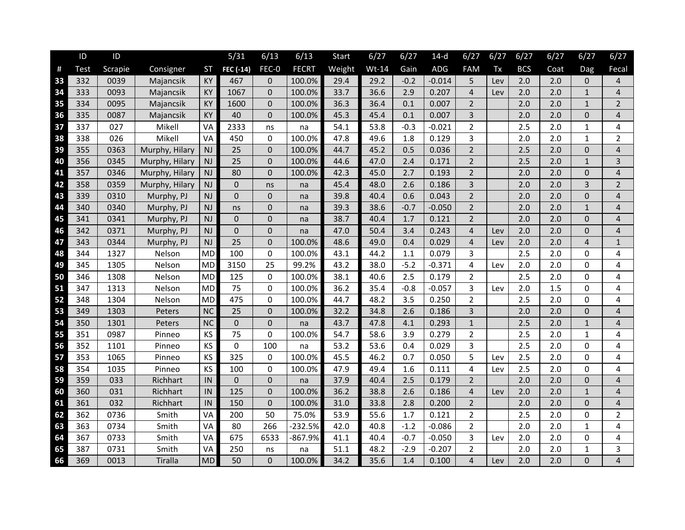|      | ID   | ID      |                |               | 5/31           | 6/13           | 6/13         | Start  | 6/27    | 6/27   | $14-d$   | 6/27                    | 6/27 | 6/27       | 6/27 | 6/27           | 6/27           |
|------|------|---------|----------------|---------------|----------------|----------------|--------------|--------|---------|--------|----------|-------------------------|------|------------|------|----------------|----------------|
| $\#$ | Test | Scrapie | Consigner      | <b>ST</b>     | FEC (-14)      | FEC-0          | <b>FECRT</b> | Weight | $Wt-14$ | Gain   | ADG      | <b>FAM</b>              | Tx   | <b>BCS</b> | Coat | Dag            | Fecal          |
| 33   | 332  | 0039    | Majancsik      | KY            | 467            | 0              | 100.0%       | 29.4   | 29.2    | $-0.2$ | $-0.014$ | 5                       | Lev  | 2.0        | 2.0  | $\Omega$       | $\overline{4}$ |
| 34   | 333  | 0093    | Majancsik      | KY            | 1067           | 0              | 100.0%       | 33.7   | 36.6    | 2.9    | 0.207    | $\overline{\mathbf{4}}$ | Lev  | 2.0        | 2.0  | $\mathbf{1}$   | $\overline{4}$ |
| 35   | 334  | 0095    | Majancsik      | KY            | 1600           | 0              | 100.0%       | 36.3   | 36.4    | 0.1    | 0.007    | $\overline{2}$          |      | 2.0        | 2.0  | $\mathbf{1}$   | $\overline{2}$ |
| 36   | 335  | 0087    | Majancsik      | KY            | 40             | 0              | 100.0%       | 45.3   | 45.4    | 0.1    | 0.007    | 3                       |      | 2.0        | 2.0  | $\overline{0}$ | 4              |
| 37   | 337  | 027     | Mikell         | VA            | 2333           | ns             | na           | 54.1   | 53.8    | $-0.3$ | $-0.021$ | $\overline{2}$          |      | 2.5        | 2.0  | $\mathbf{1}$   | 4              |
| 38   | 338  | 026     | Mikell         | VA            | 450            | 0              | 100.0%       | 47.8   | 49.6    | 1.8    | 0.129    | 3                       |      | 2.0        | 2.0  | 1              | $\overline{2}$ |
| 39   | 355  | 0363    | Murphy, Hilary | NJ            | 25             | 0              | 100.0%       | 44.7   | 45.2    | 0.5    | 0.036    | $\overline{2}$          |      | 2.5        | 2.0  | 0              | $\overline{4}$ |
| 40   | 356  | 0345    | Murphy, Hilary | <b>NJ</b>     | 25             | 0              | 100.0%       | 44.6   | 47.0    | 2.4    | 0.171    | $\overline{2}$          |      | 2.5        | 2.0  | $\mathbf{1}$   | 3              |
| 41   | 357  | 0346    | Murphy, Hilary | <b>NJ</b>     | 80             | $\overline{0}$ | 100.0%       | 42.3   | 45.0    | 2.7    | 0.193    | $\overline{2}$          |      | 2.0        | 2.0  | $\mathbf{0}$   | $\overline{4}$ |
| 42   | 358  | 0359    | Murphy, Hilary | NJ            | $\mathbf 0$    | ns             | na           | 45.4   | 48.0    | 2.6    | 0.186    | 3                       |      | 2.0        | 2.0  | 3              | $\overline{2}$ |
| 43   | 339  | 0310    | Murphy, PJ     | NJ            | $\Omega$       | 0              | na           | 39.8   | 40.4    | 0.6    | 0.043    | $\overline{2}$          |      | 2.0        | 2.0  | $\Omega$       | $\overline{4}$ |
| 44   | 340  | 0340    | Murphy, PJ     | <b>NJ</b>     | ns             | 0              | na           | 39.3   | 38.6    | $-0.7$ | $-0.050$ | $\overline{2}$          |      | 2.0        | 2.0  | $\mathbf{1}$   | $\overline{4}$ |
| 45   | 341  | 0341    | Murphy, PJ     | $\mathsf{NJ}$ | $\mathbf 0$    | 0              | na           | 38.7   | 40.4    | 1.7    | 0.121    | $\overline{2}$          |      | 2.0        | 2.0  | $\Omega$       | $\overline{4}$ |
| 46   | 342  | 0371    | Murphy, PJ     | NJ            | $\overline{0}$ | 0              | na           | 47.0   | 50.4    | 3.4    | 0.243    | $\overline{4}$          | Lev  | 2.0        | 2.0  | $\Omega$       | 4              |
| 47   | 343  | 0344    | Murphy, PJ     | <b>NJ</b>     | 25             | 0              | 100.0%       | 48.6   | 49.0    | 0.4    | 0.029    | $\overline{4}$          | Lev  | 2.0        | 2.0  | $\overline{4}$ | $\mathbf{1}$   |
| 48   | 344  | 1327    | Nelson         | <b>MD</b>     | 100            | 0              | 100.0%       | 43.1   | 44.2    | 1.1    | 0.079    | 3                       |      | 2.5        | 2.0  | 0              | 4              |
| 49   | 345  | 1305    | Nelson         | <b>MD</b>     | 3150           | 25             | 99.2%        | 43.2   | 38.0    | $-5.2$ | $-0.371$ | 4                       | Lev  | 2.0        | 2.0  | 0              | 4              |
| 50   | 346  | 1308    | Nelson         | <b>MD</b>     | 125            | 0              | 100.0%       | 38.1   | 40.6    | 2.5    | 0.179    | $\overline{2}$          |      | 2.5        | 2.0  | $\Omega$       | 4              |
| 51   | 347  | 1313    | Nelson         | <b>MD</b>     | 75             | 0              | 100.0%       | 36.2   | 35.4    | $-0.8$ | $-0.057$ | 3                       | Lev  | 2.0        | 1.5  | $\Omega$       | 4              |
| 52   | 348  | 1304    | Nelson         | <b>MD</b>     | 475            | 0              | 100.0%       | 44.7   | 48.2    | 3.5    | 0.250    | $\overline{2}$          |      | 2.5        | 2.0  | $\Omega$       | 4              |
| 53   | 349  | 1303    | Peters         | <b>NC</b>     | 25             | 0              | 100.0%       | 32.2   | 34.8    | 2.6    | 0.186    | 3                       |      | 2.0        | 2.0  | $\Omega$       | 4              |
| 54   | 350  | 1301    | Peters         | NC            | $\pmb{0}$      | 0              | na           | 43.7   | 47.8    | 4.1    | 0.293    | $\mathbf{1}$            |      | 2.5        | 2.0  | $\mathbf{1}$   | 4              |
| 55   | 351  | 0987    | Pinneo         | KS            | 75             | 0              | 100.0%       | 54.7   | 58.6    | 3.9    | 0.279    | $\overline{2}$          |      | 2.5        | 2.0  | $\mathbf{1}$   | 4              |
| 56   | 352  | 1101    | Pinneo         | KS            | $\mathbf 0$    | 100            | na           | 53.2   | 53.6    | 0.4    | 0.029    | 3                       |      | 2.5        | 2.0  | $\Omega$       | 4              |
| 57   | 353  | 1065    | Pinneo         | KS            | 325            | 0              | 100.0%       | 45.5   | 46.2    | 0.7    | 0.050    | 5                       | Lev  | 2.5        | 2.0  | $\Omega$       | 4              |
| 58   | 354  | 1035    | Pinneo         | KS            | 100            | 0              | 100.0%       | 47.9   | 49.4    | 1.6    | 0.111    | 4                       | Lev  | 2.5        | 2.0  | $\Omega$       | 4              |
| 59   | 359  | 033     | Richhart       | IN            | $\mathbf{0}$   | 0              | na           | 37.9   | 40.4    | 2.5    | 0.179    | $\overline{2}$          |      | 2.0        | 2.0  | $\overline{0}$ | $\overline{4}$ |
| 60   | 360  | 031     | Richhart       | IN            | 125            | 0              | 100.0%       | 36.2   | 38.8    | 2.6    | 0.186    | $\overline{4}$          | Lev  | 2.0        | 2.0  | $\mathbf{1}$   | $\overline{4}$ |
| 61   | 361  | 032     | Richhart       | IN            | 150            | 0              | 100.0%       | 31.0   | 33.8    | 2.8    | 0.200    | $\overline{2}$          |      | 2.0        | 2.0  | $\Omega$       | $\overline{4}$ |
| 62   | 362  | 0736    | Smith          | VA            | 200            | 50             | 75.0%        | 53.9   | 55.6    | 1.7    | 0.121    | $\overline{2}$          |      | 2.5        | 2.0  | $\mathbf 0$    | $\overline{2}$ |
| 63   | 363  | 0734    | Smith          | VA            | 80             | 266            | 232.5%       | 42.0   | 40.8    | $-1.2$ | $-0.086$ | $\overline{2}$          |      | 2.0        | 2.0  | $\mathbf{1}$   | 4              |
| 64   | 367  | 0733    | Smith          | VA            | 675            | 6533           | -867.9%      | 41.1   | 40.4    | $-0.7$ | $-0.050$ | 3                       | Lev  | 2.0        | 2.0  | $\Omega$       | 4              |
| 65   | 387  | 0731    | Smith          | VA            | 250            | ns             | na           | 51.1   | 48.2    | $-2.9$ | $-0.207$ | $\overline{2}$          |      | 2.0        | 2.0  | $\mathbf{1}$   | 3              |
| 66   | 369  | 0013    | Tiralla        | <b>MD</b>     | 50             | 0              | 100.0%       | 34.2   | 35.6    | 1.4    | 0.100    | 4                       | Lev  | 2.0        | 2.0  | $\Omega$       | 4              |